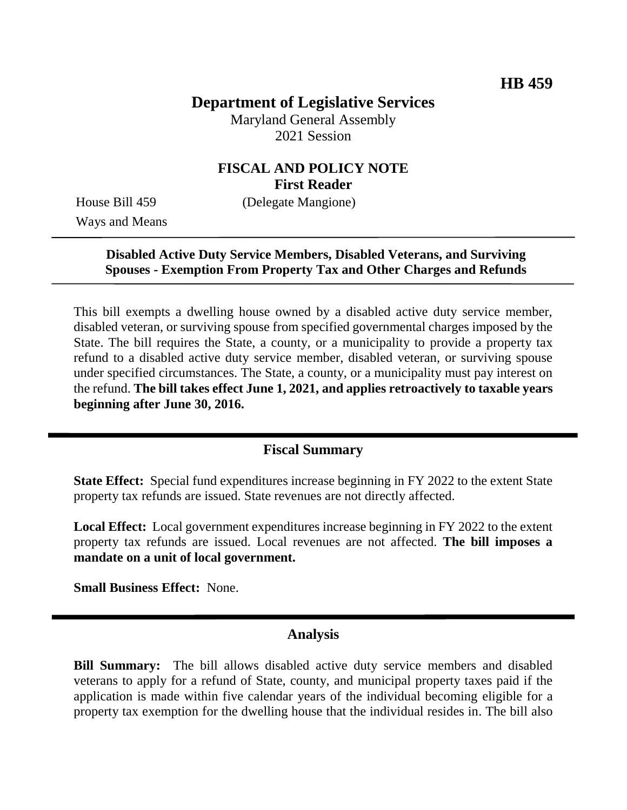# **Department of Legislative Services**

Maryland General Assembly 2021 Session

## **FISCAL AND POLICY NOTE First Reader**

Ways and Means

House Bill 459 (Delegate Mangione)

## **Disabled Active Duty Service Members, Disabled Veterans, and Surviving Spouses - Exemption From Property Tax and Other Charges and Refunds**

This bill exempts a dwelling house owned by a disabled active duty service member, disabled veteran, or surviving spouse from specified governmental charges imposed by the State. The bill requires the State, a county, or a municipality to provide a property tax refund to a disabled active duty service member, disabled veteran, or surviving spouse under specified circumstances. The State, a county, or a municipality must pay interest on the refund. **The bill takes effect June 1, 2021, and applies retroactively to taxable years beginning after June 30, 2016.**

### **Fiscal Summary**

**State Effect:** Special fund expenditures increase beginning in FY 2022 to the extent State property tax refunds are issued. State revenues are not directly affected.

**Local Effect:** Local government expenditures increase beginning in FY 2022 to the extent property tax refunds are issued. Local revenues are not affected. **The bill imposes a mandate on a unit of local government.**

**Small Business Effect:** None.

### **Analysis**

**Bill Summary:** The bill allows disabled active duty service members and disabled veterans to apply for a refund of State, county, and municipal property taxes paid if the application is made within five calendar years of the individual becoming eligible for a property tax exemption for the dwelling house that the individual resides in. The bill also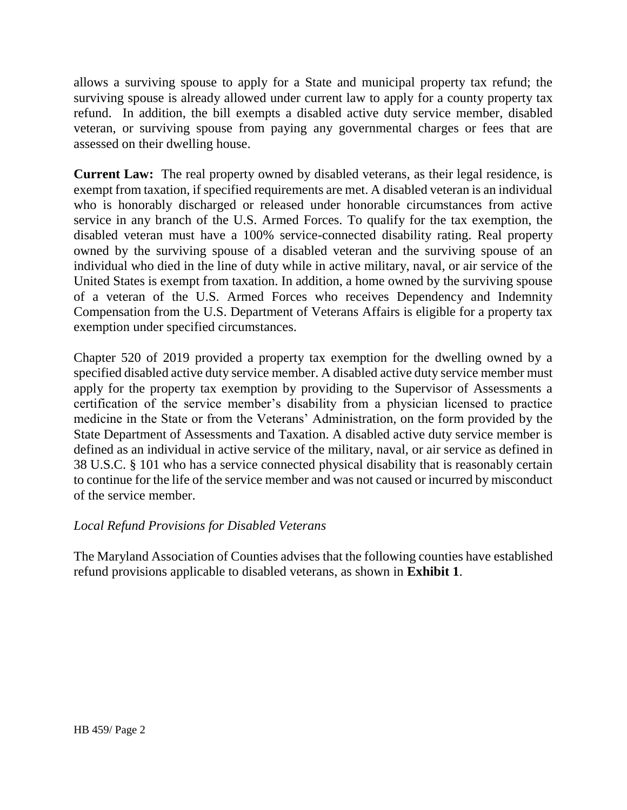allows a surviving spouse to apply for a State and municipal property tax refund; the surviving spouse is already allowed under current law to apply for a county property tax refund. In addition, the bill exempts a disabled active duty service member, disabled veteran, or surviving spouse from paying any governmental charges or fees that are assessed on their dwelling house.

**Current Law:** The real property owned by disabled veterans, as their legal residence, is exempt from taxation, if specified requirements are met. A disabled veteran is an individual who is honorably discharged or released under honorable circumstances from active service in any branch of the U.S. Armed Forces. To qualify for the tax exemption, the disabled veteran must have a 100% service-connected disability rating. Real property owned by the surviving spouse of a disabled veteran and the surviving spouse of an individual who died in the line of duty while in active military, naval, or air service of the United States is exempt from taxation. In addition, a home owned by the surviving spouse of a veteran of the U.S. Armed Forces who receives Dependency and Indemnity Compensation from the U.S. Department of Veterans Affairs is eligible for a property tax exemption under specified circumstances.

Chapter 520 of 2019 provided a property tax exemption for the dwelling owned by a specified disabled active duty service member. A disabled active duty service member must apply for the property tax exemption by providing to the Supervisor of Assessments a certification of the service member's disability from a physician licensed to practice medicine in the State or from the Veterans' Administration, on the form provided by the State Department of Assessments and Taxation. A disabled active duty service member is defined as an individual in active service of the military, naval, or air service as defined in 38 U.S.C. § 101 who has a service connected physical disability that is reasonably certain to continue for the life of the service member and was not caused or incurred by misconduct of the service member.

#### *Local Refund Provisions for Disabled Veterans*

The Maryland Association of Counties advises that the following counties have established refund provisions applicable to disabled veterans, as shown in **Exhibit 1**.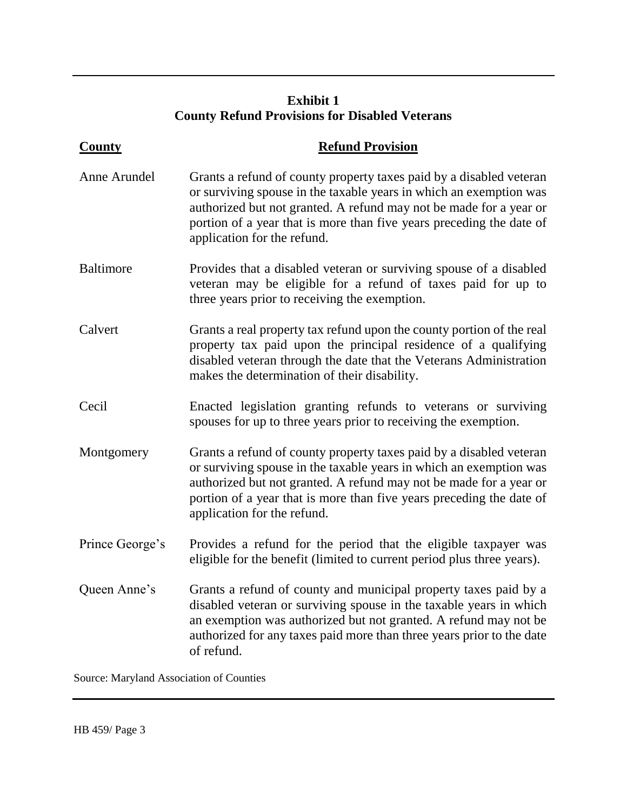# **Exhibit 1 County Refund Provisions for Disabled Veterans**

| <b>County</b>    | <b>Refund Provision</b>                                                                                                                                                                                                                                                                                                |  |
|------------------|------------------------------------------------------------------------------------------------------------------------------------------------------------------------------------------------------------------------------------------------------------------------------------------------------------------------|--|
| Anne Arundel     | Grants a refund of county property taxes paid by a disabled veteran<br>or surviving spouse in the taxable years in which an exemption was<br>authorized but not granted. A refund may not be made for a year or<br>portion of a year that is more than five years preceding the date of<br>application for the refund. |  |
| <b>Baltimore</b> | Provides that a disabled veteran or surviving spouse of a disabled<br>veteran may be eligible for a refund of taxes paid for up to<br>three years prior to receiving the exemption.                                                                                                                                    |  |
| Calvert          | Grants a real property tax refund upon the county portion of the real<br>property tax paid upon the principal residence of a qualifying<br>disabled veteran through the date that the Veterans Administration<br>makes the determination of their disability.                                                          |  |
| Cecil            | Enacted legislation granting refunds to veterans or surviving<br>spouses for up to three years prior to receiving the exemption.                                                                                                                                                                                       |  |
| Montgomery       | Grants a refund of county property taxes paid by a disabled veteran<br>or surviving spouse in the taxable years in which an exemption was<br>authorized but not granted. A refund may not be made for a year or<br>portion of a year that is more than five years preceding the date of<br>application for the refund. |  |
| Prince George's  | Provides a refund for the period that the eligible taxpayer was<br>eligible for the benefit (limited to current period plus three years).                                                                                                                                                                              |  |
| Queen Anne's     | Grants a refund of county and municipal property taxes paid by a<br>disabled veteran or surviving spouse in the taxable years in which<br>an exemption was authorized but not granted. A refund may not be<br>authorized for any taxes paid more than three years prior to the date<br>of refund.                      |  |

Source: Maryland Association of Counties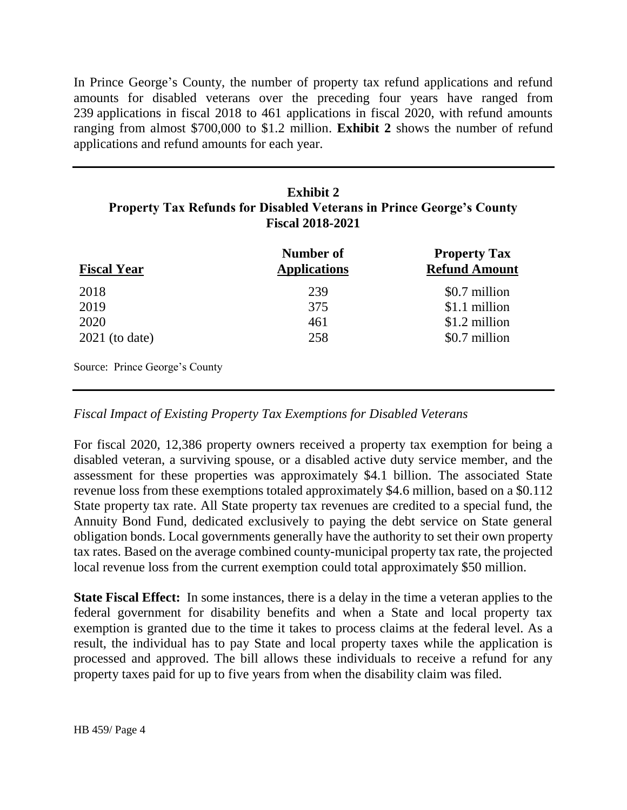In Prince George's County, the number of property tax refund applications and refund amounts for disabled veterans over the preceding four years have ranged from 239 applications in fiscal 2018 to 461 applications in fiscal 2020, with refund amounts ranging from almost \$700,000 to \$1.2 million. **Exhibit 2** shows the number of refund applications and refund amounts for each year.

| <b>Exhibit 2</b>                                                            |
|-----------------------------------------------------------------------------|
| <b>Property Tax Refunds for Disabled Veterans in Prince George's County</b> |
| <b>Fiscal 2018-2021</b>                                                     |

| <b>Fiscal Year</b>             | Number of<br><b>Applications</b> | <b>Property Tax</b><br><b>Refund Amount</b> |
|--------------------------------|----------------------------------|---------------------------------------------|
| 2018                           | 239                              | \$0.7 million                               |
| 2019                           | 375                              | \$1.1 million                               |
| 2020                           | 461                              | \$1.2 million                               |
| $2021$ (to date)               | 258                              | \$0.7 million                               |
| Source: Prince George's County |                                  |                                             |

#### *Fiscal Impact of Existing Property Tax Exemptions for Disabled Veterans*

For fiscal 2020, 12,386 property owners received a property tax exemption for being a disabled veteran, a surviving spouse, or a disabled active duty service member, and the assessment for these properties was approximately \$4.1 billion. The associated State revenue loss from these exemptions totaled approximately \$4.6 million, based on a \$0.112 State property tax rate. All State property tax revenues are credited to a special fund, the Annuity Bond Fund, dedicated exclusively to paying the debt service on State general obligation bonds. Local governments generally have the authority to set their own property tax rates. Based on the average combined county-municipal property tax rate, the projected local revenue loss from the current exemption could total approximately \$50 million.

**State Fiscal Effect:** In some instances, there is a delay in the time a veteran applies to the federal government for disability benefits and when a State and local property tax exemption is granted due to the time it takes to process claims at the federal level. As a result, the individual has to pay State and local property taxes while the application is processed and approved. The bill allows these individuals to receive a refund for any property taxes paid for up to five years from when the disability claim was filed.